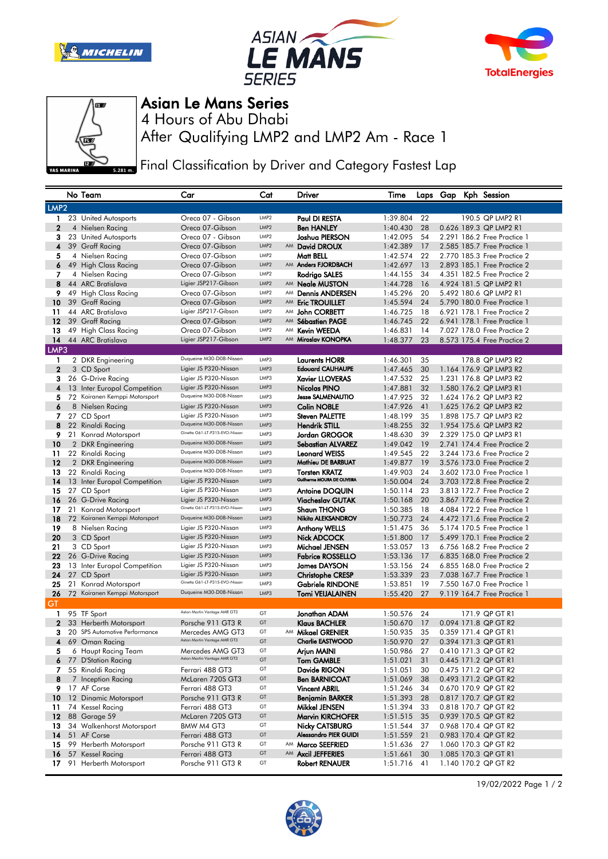







## Asian Le Mans Series

After Qualifying LMP2 and LMP2 Am - Race 1 4 Hours of Abu Dhabi

Final Classification by Driver and Category Fastest Lap

|                  |      | No Team                         | Car                                                     | Cat              |    | Driver                                              | Time                 |          |  |  | Laps Gap Kph Session                                       |
|------------------|------|---------------------------------|---------------------------------------------------------|------------------|----|-----------------------------------------------------|----------------------|----------|--|--|------------------------------------------------------------|
| LMP <sub>2</sub> |      |                                 |                                                         |                  |    |                                                     |                      |          |  |  |                                                            |
| 1                |      | 23 United Autosports            | Oreca 07 - Gibson                                       | LMP <sub>2</sub> |    | Paul DI RESTA                                       | 1:39.804             | 22       |  |  | 190.5 QP LMP2 R1                                           |
| $\mathbf{2}$     |      | 4 Nielsen Racing                | Oreca 07-Gibson                                         | LMP <sub>2</sub> |    | <b>Ben HANLEY</b>                                   | 1:40.430             | 28       |  |  | 0.626 189.3 QP LMP2 R1                                     |
| з                |      | 23 United Autosports            | Oreca 07 - Gibson                                       | LMP <sub>2</sub> |    | Joshua PIERSON                                      | 1:42.095             | 54       |  |  | 2.291 186.2 Free Practice 1                                |
| 4                |      | 39 Graff Racing                 | Oreca 07-Gibson                                         | LMP <sub>2</sub> |    | AM David DROUX                                      | 1:42.389             | 17       |  |  | 2.585 185.7 Free Practice 1                                |
| 5                |      | 4 Nielsen Racing                | Oreca 07-Gibson                                         | LMP2             |    | Matt BELL                                           | 1:42.574             | 22       |  |  | 2.770 185.3 Free Practice 2                                |
| 6                |      | 49 High Class Racing            | Oreca 07-Gibson                                         | LMP2             |    | AM Anders FJORDBACH                                 | 1:42.697             | 13       |  |  | 2.893 185.1 Free Practice 2                                |
| 7                |      | 4 Nielsen Racing                | Oreca 07-Gibson                                         | LMP2             |    | Rodrigo SALES                                       | 1:44.155             | 34       |  |  | 4.351 182.5 Free Practice 2                                |
| 8                |      | 44 ARC Bratislava               | Ligier JSP217-Gibson                                    | LMP2             |    | AM <b>Neale MUSTON</b>                              | 1:44.728             | 16       |  |  | 4.924 181.5 QP LMP2 R1                                     |
| 9                |      | 49 High Class Racing            | Oreca 07-Gibson                                         | LMP2             | AM | <b>Dennis ANDERSEN</b>                              | 1:45.296             | 20       |  |  | 5.492 180.6 QP LMP2 R1                                     |
| 10               |      | 39 Graff Racing                 | Oreca 07-Gibson                                         | LMP2             |    | AM Eric TROUILLET                                   | 1:45.594             | 24       |  |  | 5.790 180.0 Free Practice 1                                |
| 11               |      | 44 ARC Bratislava               | Ligier JSP217-Gibson                                    | LMP <sub>2</sub> | AM | John CORBETT                                        | 1:46.725             | 18       |  |  | 6.921 178.1 Free Practice 2                                |
| 12               |      | 39 Graff Racing                 | Oreca 07-Gibson                                         | LMP <sub>2</sub> | AM | Sébastien PAGE                                      | 1:46.745             | 22       |  |  | 6.941 178.1 Free Practice 1                                |
| 13               |      | 49 High Class Racing            | Oreca 07-Gibson                                         | LMP <sub>2</sub> | AM | <b>Kevin WEEDA</b>                                  | 1:46.831             | 14       |  |  | 7.027 178.0 Free Practice 2                                |
| 14               |      | 44 ARC Bratislava               | Ligier JSP217-Gibson                                    | LMP <sub>2</sub> |    | AM Miroslav KONOPKA                                 | 1:48.377             | 23       |  |  | 8.573 175.4 Free Practice 2                                |
|                  | LMP3 |                                 |                                                         |                  |    |                                                     |                      |          |  |  |                                                            |
| 1                |      | 2 DKR Engineering               | Duqueine M30-D08-Nissan                                 | LMP3             |    | <b>Laurents HORR</b>                                | 1:46.301             | 35       |  |  | 178.8 QP LMP3 R2                                           |
| $\mathbf{2}$     |      | 3 CD Sport                      | Ligier JS P320-Nissan                                   | LMP3             |    | <b>Edouard CAUHAUPE</b>                             | 1:47.465             | 30       |  |  | 1.164 176.9 QP LMP3 R2                                     |
| 3                |      | 26 G-Drive Racing               | Ligier JS P320-Nissan                                   | LMP3             |    | <b>Xavier LLOVERAS</b>                              | 1:47.532             | 25       |  |  | 1.231 176.8 QP LMP3 R2                                     |
| 4                |      | 13 Inter Europol Competition    | Ligier JS P320-Nissan                                   | LMP3             |    | Nicolas PINO                                        | 1:47.881             | 32       |  |  | 1.580 176.2 QP LMP3 R1                                     |
| 5                |      | 72 Koiranen Kemppi Motorsport   | Duqueine M30-D08-Nissan                                 | LMP3             |    | <b>Jesse SALMENAUTIO</b>                            | 1:47.925             | 32       |  |  | 1.624 176.2 QP LMP3 R2                                     |
| 6                |      | 8 Nielsen Racing                | Ligier JS P320-Nissan                                   | LMP3             |    | <b>Colin NOBLE</b>                                  | 1:47.926             | 41       |  |  | 1.625 176.2 QP LMP3 R2                                     |
| 7                |      | 27 CD Sport                     | Ligier JS P320-Nissan                                   | LMP3             |    | <b>Steven PALETTE</b>                               | 1:48.199             | 35       |  |  | 1.898 175.7 QP LMP3 R2                                     |
| 8                |      | 22 Rinaldi Racing               | Duqueine M30-D08-Nissan                                 | LMP3             |    | <b>Hendrik STILL</b>                                | 1:48.255             | 32       |  |  | 1.954 175.6 QP LMP3 R2                                     |
| 9                |      | 21 Konrad Motorsport            | Ginetta G61-LT-P315-EVO-Nissan                          | LMP3             |    | <b>Jordan GROGOR</b>                                | 1:48.630             | 39       |  |  | 2.329 175.0 QP LMP3 R1                                     |
| 10               |      | 2 DKR Engineering               | Duqueine M30-D08-Nissan                                 | LMP3             |    | <b>Sebastian ALVAREZ</b>                            | 1:49.042             | 19       |  |  | 2.741 174.4 Free Practice 2                                |
| 11               |      | 22 Rinaldi Racing               | Duqueine M30-D08-Nissan                                 | LMP3             |    | <b>Leonard WEISS</b>                                | 1:49.545             | 22       |  |  | 3.244 173.6 Free Practice 2                                |
| 12               |      | 2 DKR Engineering               | Duqueine M30-D08-Nissan                                 | LMP3             |    | Mathieu DE BARBUAT                                  | 1:49.877             | 19       |  |  | 3.576 173.0 Free Practice 2                                |
| 13               |      | 22 Rinaldi Racing               | Duqueine M30-D08-Nissan                                 | LMP3             |    | <b>Torsten KRATZ</b><br>Guilherme MOURA DE OLIVEIRA | 1:49.903             | 24       |  |  | 3.602 173.0 Free Practice 1                                |
| 14               |      | 13 Inter Europol Competition    | Ligier JS P320-Nissan                                   | LMP3             |    |                                                     | 1:50.004             | 24       |  |  | 3.703 172.8 Free Practice 2                                |
| 15               |      | 27 CD Sport                     | Ligier JS P320-Nissan                                   | LMP3             |    | <b>Antoine DOQUIN</b>                               | 1:50.114             | 23       |  |  | 3.813 172.7 Free Practice 2                                |
| 16               |      | 26 G-Drive Racing               | Ligier JS P320-Nissan<br>Ginetta G61-LT-P315-EVO-Nissan | LMP3             |    | <b>Viacheslav GUTAK</b>                             | 1:50.168             | 20       |  |  | 3.867 172.6 Free Practice 2                                |
| 17               |      | 21 Konrad Motorsport            | Duqueine M30-D08-Nissan                                 | LMP3             |    | <b>Shaun THONG</b>                                  | 1:50.385             | 18       |  |  | 4.084 172.2 Free Practice 1                                |
| 18               |      | 72 Koiranen Kemppi Motorsport   |                                                         | LMP3             |    | Nikita ALEKSANDROV                                  | 1:50.773             | 24       |  |  | 4.472 171.6 Free Practice 2                                |
| 19               |      | 8 Nielsen Racing                | Ligier JS P320-Nissan<br>Ligier JS P320-Nissan          | LMP3<br>LMP3     |    | <b>Anthony WELLS</b>                                | 1:51.475             | 36<br>17 |  |  | 5.174 170.5 Free Practice 1                                |
| 20               |      | 3 CD Sport                      | Ligier JS P320-Nissan                                   | LMP3             |    | Nick ADCOCK                                         | 1:51.800             | 13       |  |  | 5.499 170.1 Free Practice 2                                |
| 21<br>22         |      | 3 CD Sport<br>26 G-Drive Racing | Ligier JS P320-Nissan                                   | LMP3             |    | Michael JENSEN<br><b>Fabrice ROSSELLO</b>           | 1:53.057<br>1:53.136 | 17       |  |  | 6.756 168.2 Free Practice 2<br>6.835 168.0 Free Practice 2 |
| 23               |      | 13 Inter Europol Competition    | Ligier JS P320-Nissan                                   | LMP3             |    | <b>James DAYSON</b>                                 | 1:53.156             | 24       |  |  | 6.855 168.0 Free Practice 2                                |
| 24               |      | 27 CD Sport                     | Ligier JS P320-Nissan                                   | LMP3             |    | <b>Christophe CRESP</b>                             | 1:53.339             | 23       |  |  | 7.038 167.7 Free Practice 1                                |
| 25               |      | 21 Konrad Motorsport            | Ginetta G61-LT-P315-EVO-Nissan                          | LMP3             |    | <b>Gabriele RINDONE</b>                             | 1:53.851             | 19       |  |  | 7,550 167,0 Free Practice 1                                |
| 26               |      | 72 Koiranen Kemppi Motorsport   | Duqueine M30-D08-Nissan                                 | LMP3             |    | <b>Tomi VEIJALAINEN</b>                             | 1:55.420             | 27       |  |  | 9.119 164.7 Free Practice 1                                |
| GT               |      |                                 |                                                         |                  |    |                                                     |                      |          |  |  |                                                            |
| 1                |      | 95 TF Sport                     | Aston Martin Vantage AMR GT3                            | GT               |    | Jonathan ADAM                                       | 1:50.576             | 24       |  |  | 171.9 QP GT R1                                             |
| $\mathbf{2}$     |      | 33 Herberth Motorsport          | Porsche 911 GT3 R                                       | GT               |    | <b>Klaus BACHLER</b>                                | 1:50.670             | 17       |  |  | 0.094 171.8 QP GT R2                                       |
| з                |      | 20 SPS Automotive Performance   | Mercedes AMG GT3                                        | GT               |    | AM Mikael GRENIER                                   | 1:50.935             | 35       |  |  | 0.359 171.4 QP GT R1                                       |
| 4                |      | 69 Oman Racing                  | Aston Martin Vantage AMR GT3                            | GT               |    | <b>Charlie EASTWOOD</b>                             | 1:50.970             | 27       |  |  | 0.394 171.3 QP GT R1                                       |
| 5                |      | 6 Haupt Racing Team             | Mercedes AMG GT3                                        | GT               |    | Arjun MAINI                                         | 1:50.986             | 27       |  |  | 0.410 171.3 QP GT R2                                       |
|                  |      | 6 77 D'Station Racing           | Aston Martin Vantage AMR GT3                            | GT               |    | <b>Tom GAMBLE</b>                                   | 1:51.021             | 31       |  |  | 0.445 171.2 QP GT R1                                       |
|                  |      | 7 55 Rinaldi Racing             | Ferrari 488 GT3                                         | GT               |    | Davide RIGON                                        | 1:51.051             | 30       |  |  | 0.475 171.2 QP GT R2                                       |
| 8                |      | 7 Inception Racing              | McLaren 720S GT3                                        | GT               |    | <b>Ben BARNICOAT</b>                                | 1:51.069             | 38       |  |  | 0.493 171.2 QP GT R2                                       |
|                  |      | 9 17 AF Corse                   | Ferrari 488 GT3                                         | GT               |    | <b>Vincent ABRIL</b>                                | 1:51.246             | 34       |  |  | 0.670 170.9 QP GT R2                                       |
|                  |      | 10 12 Dinamic Motorsport        | Porsche 911 GT3 R                                       | GT               |    | <b>Benjamin BARKER</b>                              | 1:51.393             | 28       |  |  | 0.817 170.7 QP GT R2                                       |
| 11               |      | 74 Kessel Racing                | Ferrari 488 GT3                                         | GT               |    | Mikkel JENSEN                                       | 1:51.394             | 33       |  |  | 0.818 170.7 QP GT R2                                       |
|                  |      | <b>12</b> 88 Garage 59          | McLaren 720S GT3                                        | GT               |    | <b>Marvin KIRCHOFER</b>                             | 1:51.515             | 35       |  |  | 0.939 170.5 QP GT R2                                       |
| 13               |      | 34 Walkenhorst Motorsport       | BMW M4 GT3                                              | GT               |    | <b>Nicky CATSBURG</b>                               | 1:51.544 37          |          |  |  | 0.968 170.4 QP GT R2                                       |
| 14               |      | 51 AF Corse                     | Ferrari 488 GT3                                         | GT               |    | Alessandro PIER GUIDI                               | 1:51.559             | 21       |  |  | 0.983 170.4 QP GT R2                                       |
| 15               |      | 99 Herberth Motorsport          | Porsche 911 GT3 R                                       | GT               |    | AM Marco SEEFRIED                                   | 1:51.636             | 27       |  |  | 1.060 170.3 QP GT R2                                       |
| 16               |      | 57 Kessel Racing                | Ferrari 488 GT3                                         | GT               |    | AM Axcil JEFFERIES                                  | 1:51.661             | 30       |  |  | 1.085 170.3 QP GT R1                                       |
| 17.              |      | 91 Herberth Motorsport          | Porsche 911 GT3 R                                       | GT               |    | <b>Robert RENAUER</b>                               | 1:51.716             | 41       |  |  | 1.140 170.2 QP GT R2                                       |